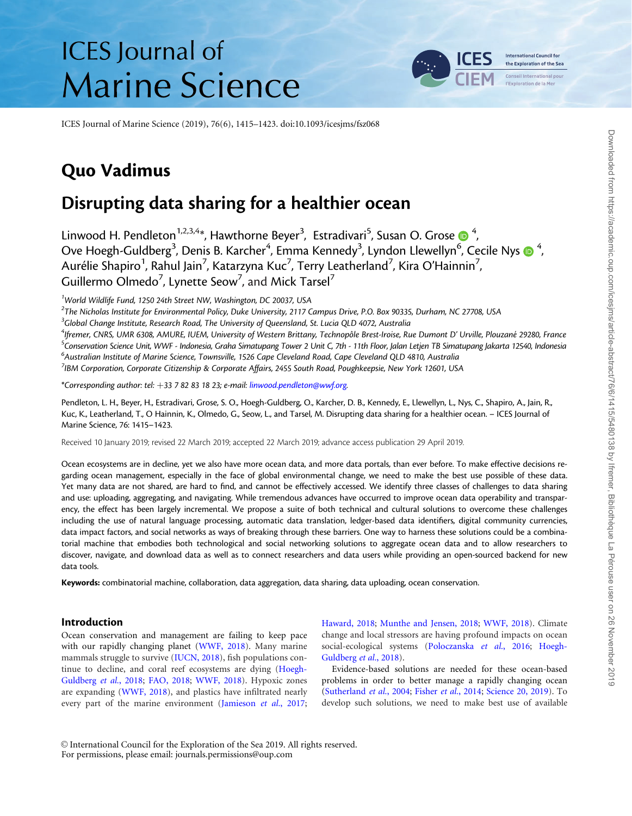# **ICES** Journal of **Marine Science**

ICES Journal of Marine Science (2019), 76(6), 1415–1423. doi:10.1093/icesjms/fsz068

# Quo Vadimus

# Disrupting data sharing for a healthier ocean

Linwood H. Pendleton $^{1,2,3,4*}$ , Hawthorne Beyer $^3$ , Estradivari $^5$ , Susan O. Grose  $\tiny\bigoplus\,{}^4$ , Ove Hoegh-Guldberg<sup>3</sup>, Denis B. Karcher<sup>4</sup>, Emma Kennedy<sup>3</sup>, Lyndon Llewellyn<sup>[6](http://orcid.org/0000-0003-1997-3243)</sup>, Cecile Nys **O** <sup>4</sup> .<br>י Aurélie Shapiro<sup>1</sup>, Rahul Jain<sup>7</sup>, Katarzyna Kuc<sup>7</sup>, Terry Leatherland<sup>7</sup>, Kira O'Hainnin<sup>7</sup> , Guillermo Olmedo<sup>7</sup>, Lynette Seow<sup>7</sup>, and Mick Tarsel<sup>7</sup>

<sup>1</sup>World Wildlife Fund, 1250 24th Street NW, Washington, DC 20037, USA

 $^2$ The Nicholas Institute for Environmental Policy, Duke University, 2117 Campus Drive, P.O. Box 90335, Durham, NC 27708, USA

 $^3$ Global Change Institute, Research Road, The University of Queensland, St. Lucia QLD 4072, Australia

"Ifremer, CNRS, UMR 6308, AMURE, IUEM, University of Western Brittany, Technopôle Brest-Iroise, Rue Dumont D' Urville, Plouzané 29280, France<br><sup>5</sup>Conservation Science Unit MANE - Indonesia, Craba Simatunang Tower 2 Unit C.

 $^5$ Conservation Science Unit, WWF - Indonesia, Graha Simatupang Tower 2 Unit C, 7th - 11th Floor, Jalan Letjen TB Simatupang Jakarta 12540, Indonesia

 $<sup>6</sup>$ Australian Institute of Marine Science, Townsville, 1526 Cape Cleveland Road, Cape Cleveland QLD 4810, Australia</sup>

<sup>7</sup>IBM Corporation, Corporate Citizenship & Corporate Affairs, 2455 South Road, Poughkeepsie, New York 12601, USA

\*Corresponding author: tel:  $+33$  7 82 83 18 23; e-mail: [linwood.pendleton@wwf.org.](mailto:linwood.pendleton@wwf.org)

Pendleton, L. H., Beyer, H., Estradivari, Grose, S. O., Hoegh-Guldberg, O., Karcher, D. B., Kennedy, E., Llewellyn, L., Nys, C., Shapiro, A., Jain, R., Kuc, K., Leatherland, T., O Hainnin, K., Olmedo, G., Seow, L., and Tarsel, M. Disrupting data sharing for a healthier ocean. – ICES Journal of Marine Science, 76: 1415–1423.

Received 10 January 2019; revised 22 March 2019; accepted 22 March 2019; advance access publication 29 April 2019.

Ocean ecosystems are in decline, yet we also have more ocean data, and more data portals, than ever before. To make effective decisions regarding ocean management, especially in the face of global environmental change, we need to make the best use possible of these data. Yet many data are not shared, are hard to find, and cannot be effectively accessed. We identify three classes of challenges to data sharing and use: uploading, aggregating, and navigating. While tremendous advances have occurred to improve ocean data operability and transparency, the effect has been largely incremental. We propose a suite of both technical and cultural solutions to overcome these challenges including the use of natural language processing, automatic data translation, ledger-based data identifiers, digital community currencies, data impact factors, and social networks as ways of breaking through these barriers. One way to harness these solutions could be a combinatorial machine that embodies both technological and social networking solutions to aggregate ocean data and to allow researchers to discover, navigate, and download data as well as to connect researchers and data users while providing an open-sourced backend for new data tools.

Keywords: combinatorial machine, collaboration, data aggregation, data sharing, data uploading, ocean conservation.

#### Introduction

Ocean conservation and management are failing to keep pace with our rapidly changing planet ([WWF, 2018\)](#page-8-0). Many marine mammals struggle to survive ([IUCN, 2018\)](#page-7-0), fish populations continue to decline, and coral reef ecosystems are dying [\(Hoegh-](#page-7-0)[Guldberg](#page-7-0) et al., 2018; [FAO, 2018;](#page-6-0) [WWF, 2018](#page-8-0)). Hypoxic zones are expanding ([WWF, 2018](#page-8-0)), and plastics have infiltrated nearly every part of the marine environment ([Jamieson](#page-7-0) et al., 2017; [Haward, 2018](#page-7-0); [Munthe and Jensen, 2018](#page-7-0); [WWF, 2018\)](#page-8-0). Climate change and local stressors are having profound impacts on ocean social-ecological systems [\(Poloczanska](#page-7-0) et al., 2016; [Hoegh-](#page-7-0)[Guldberg](#page-7-0) et al., 2018).

Evidence-based solutions are needed for these ocean-based problems in order to better manage a rapidly changing ocean [\(Sutherland](#page-7-0) et al., 2004; Fisher et al.[, 2014;](#page-6-0) [Science 20, 2019\)](#page-7-0). To develop such solutions, we need to make best use of available

**International Council for** the Exploration of the Sea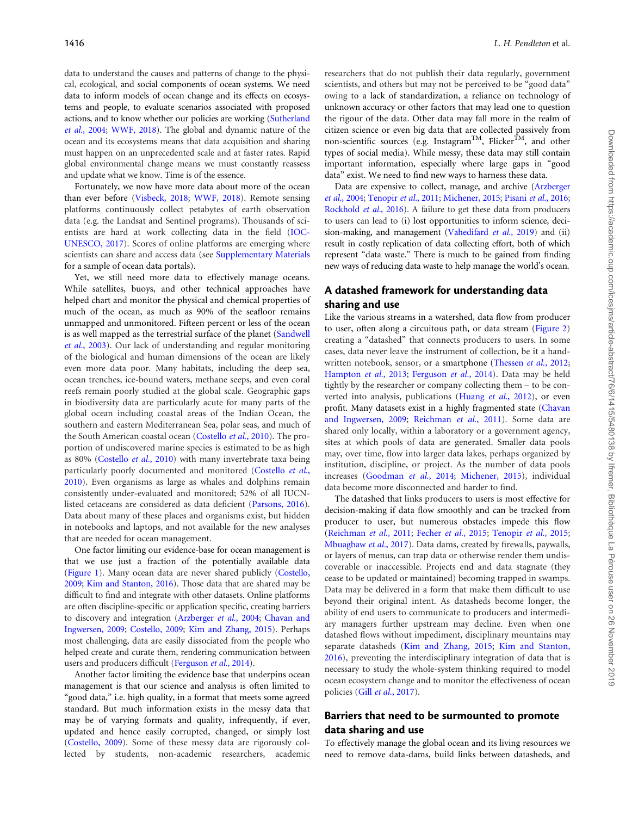data to understand the causes and patterns of change to the physical, ecological, and social components of ocean systems. We need data to inform models of ocean change and its effects on ecosystems and people, to evaluate scenarios associated with proposed actions, and to know whether our policies are working [\(Sutherland](#page-7-0) et al.[, 2004](#page-7-0); [WWF, 2018](#page-8-0)). The global and dynamic nature of the ocean and its ecosystems means that data acquisition and sharing must happen on an unprecedented scale and at faster rates. Rapid global environmental change means we must constantly reassess and update what we know. Time is of the essence.

Fortunately, we now have more data about more of the ocean than ever before ([Visbeck, 2018](#page-8-0); [WWF, 2018](#page-8-0)). Remote sensing platforms continuously collect petabytes of earth observation data (e.g. the Landsat and Sentinel programs). Thousands of scientists are hard at work collecting data in the field ([IOC-](#page-7-0)[UNESCO, 2017\)](#page-7-0). Scores of online platforms are emerging where scientists can share and access data (see [Supplementary Materials](https://academic.oup.com/icesjms/article-lookup/doi/10.1093/icesjms/fsz068#supplementary-data) for a sample of ocean data portals).

Yet, we still need more data to effectively manage oceans. While satellites, buoys, and other technical approaches have helped chart and monitor the physical and chemical properties of much of the ocean, as much as 90% of the seafloor remains unmapped and unmonitored. Fifteen percent or less of the ocean is as well mapped as the terrestrial surface of the planet [\(Sandwell](#page-7-0) et al.[, 2003\)](#page-7-0). Our lack of understanding and regular monitoring of the biological and human dimensions of the ocean are likely even more data poor. Many habitats, including the deep sea, ocean trenches, ice-bound waters, methane seeps, and even coral reefs remain poorly studied at the global scale. Geographic gaps in biodiversity data are particularly acute for many parts of the global ocean including coastal areas of the Indian Ocean, the southern and eastern Mediterranean Sea, polar seas, and much of the South American coastal ocean [\(Costello](#page-6-0) et al., 2010). The proportion of undiscovered marine species is estimated to be as high as 80% ([Costello](#page-6-0) et al., 2010) with many invertebrate taxa being particularly poorly documented and monitored ([Costello](#page-6-0) et al., [2010\)](#page-6-0). Even organisms as large as whales and dolphins remain consistently under-evaluated and monitored; 52% of all IUCNlisted cetaceans are considered as data deficient [\(Parsons, 2016](#page-7-0)). Data about many of these places and organisms exist, but hidden in notebooks and laptops, and not available for the new analyses that are needed for ocean management.

One factor limiting our evidence-base for ocean management is that we use just a fraction of the potentially available data ([Figure 1\)](#page-2-0). Many ocean data are never shared publicly ([Costello,](#page-6-0) [2009](#page-6-0); [Kim and Stanton, 2016\)](#page-7-0). Those data that are shared may be difficult to find and integrate with other datasets. Online platforms are often discipline-specific or application specific, creating barriers to discovery and integration [\(Arzberger](#page-6-0) et al., 2004; [Chavan and](#page-6-0) [Ingwersen, 2009;](#page-6-0) [Costello, 2009](#page-6-0); [Kim and Zhang, 2015\)](#page-7-0). Perhaps most challenging, data are easily dissociated from the people who helped create and curate them, rendering communication between users and producers difficult [\(Ferguson](#page-6-0) et al., 2014).

Another factor limiting the evidence base that underpins ocean management is that our science and analysis is often limited to "good data," i.e. high quality, in a format that meets some agreed standard. But much information exists in the messy data that may be of varying formats and quality, infrequently, if ever, updated and hence easily corrupted, changed, or simply lost ([Costello, 2009\)](#page-6-0). Some of these messy data are rigorously collected by students, non-academic researchers, academic

researchers that do not publish their data regularly, government scientists, and others but may not be perceived to be "good data" owing to a lack of standardization, a reliance on technology of unknown accuracy or other factors that may lead one to question the rigour of the data. Other data may fall more in the realm of citizen science or even big data that are collected passively from non-scientific sources (e.g. Instagram<sup>TM</sup>, Flicker<sup>TM</sup>, and other types of social media). While messy, these data may still contain important information, especially where large gaps in "good data" exist. We need to find new ways to harness these data.

Data are expensive to collect, manage, and archive [\(Arzberger](#page-6-0) et al.[, 2004](#page-6-0); [Tenopir](#page-7-0) et al., 2011; [Michener, 2015;](#page-7-0) Pisani et al.[, 2016;](#page-7-0) [Rockhold](#page-7-0) et al., 2016). A failure to get these data from producers to users can lead to (i) lost opportunities to inform science, deci-sion-making, and management [\(Vahedifard](#page-8-0) et al., 2019) and (ii) result in costly replication of data collecting effort, both of which represent "data waste." There is much to be gained from finding new ways of reducing data waste to help manage the world's ocean.

## A datashed framework for understanding data sharing and use

Like the various streams in a watershed, data flow from producer to user, often along a circuitous path, or data stream ([Figure 2](#page-2-0)) creating a "datashed" that connects producers to users. In some cases, data never leave the instrument of collection, be it a hand-written notebook, sensor, or a smartphone ([Thessen](#page-8-0) et al., 2012; [Hampton](#page-7-0) et al., 2013; [Ferguson](#page-6-0) et al., 2014). Data may be held tightly by the researcher or company collecting them – to be con-verted into analysis, publications ([Huang](#page-7-0) et al., 2012), or even profit. Many datasets exist in a highly fragmented state [\(Chavan](#page-6-0) [and Ingwersen, 2009](#page-6-0); [Reichman](#page-7-0) et al., 2011). Some data are shared only locally, within a laboratory or a government agency, sites at which pools of data are generated. Smaller data pools may, over time, flow into larger data lakes, perhaps organized by institution, discipline, or project. As the number of data pools increases ([Goodman](#page-7-0) et al., 2014; [Michener, 2015\)](#page-7-0), individual data become more disconnected and harder to find.

The datashed that links producers to users is most effective for decision-making if data flow smoothly and can be tracked from producer to user, but numerous obstacles impede this flow ([Reichman](#page-7-0) et al., 2011; [Fecher](#page-6-0) et al., 2015; [Tenopir](#page-7-0) et al., 2015; [Mbuagbaw](#page-7-0) et al., 2017). Data dams, created by firewalls, paywalls, or layers of menus, can trap data or otherwise render them undiscoverable or inaccessible. Projects end and data stagnate (they cease to be updated or maintained) becoming trapped in swamps. Data may be delivered in a form that make them difficult to use beyond their original intent. As datasheds become longer, the ability of end users to communicate to producers and intermediary managers further upstream may decline. Even when one datashed flows without impediment, disciplinary mountains may separate datasheds ([Kim and Zhang, 2015](#page-7-0); [Kim and Stanton,](#page-7-0) [2016\)](#page-7-0), preventing the interdisciplinary integration of data that is necessary to study the whole-system thinking required to model ocean ecosystem change and to monitor the effectiveness of ocean policies (Gill et al.[, 2017\)](#page-7-0).

## Barriers that need to be surmounted to promote data sharing and use

To effectively manage the global ocean and its living resources we need to remove data-dams, build links between datasheds, and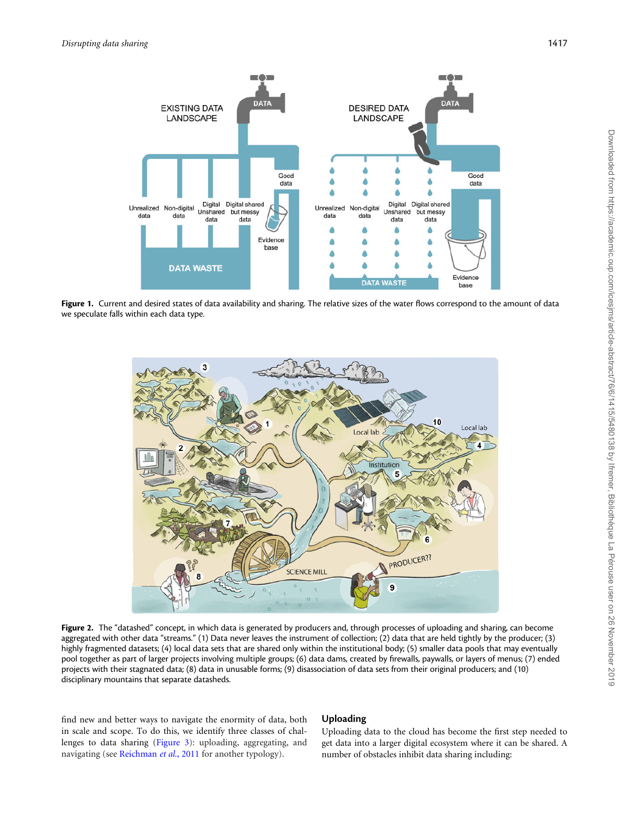<span id="page-2-0"></span>

Figure 1. Current and desired states of data availability and sharing. The relative sizes of the water flows correspond to the amount of data we speculate falls within each data type.



Figure 2. The "datashed" concept, in which data is generated by producers and, through processes of uploading and sharing, can become aggregated with other data "streams." (1) Data never leaves the instrument of collection; (2) data that are held tightly by the producer; (3) highly fragmented datasets; (4) local data sets that are shared only within the institutional body; (5) smaller data pools that may eventually pool together as part of larger projects involving multiple groups; (6) data dams, created by firewalls, paywalls, or layers of menus; (7) ended projects with their stagnated data; (8) data in unusable forms; (9) disassociation of data sets from their original producers; and (10) disciplinary mountains that separate datasheds.

find new and better ways to navigate the enormity of data, both in scale and scope. To do this, we identify three classes of challenges to data sharing ([Figure 3](#page-3-0)): uploading, aggregating, and navigating (see [Reichman](#page-7-0) et al., 2011 for another typology).

#### Uploading

Uploading data to the cloud has become the first step needed to get data into a larger digital ecosystem where it can be shared. A number of obstacles inhibit data sharing including: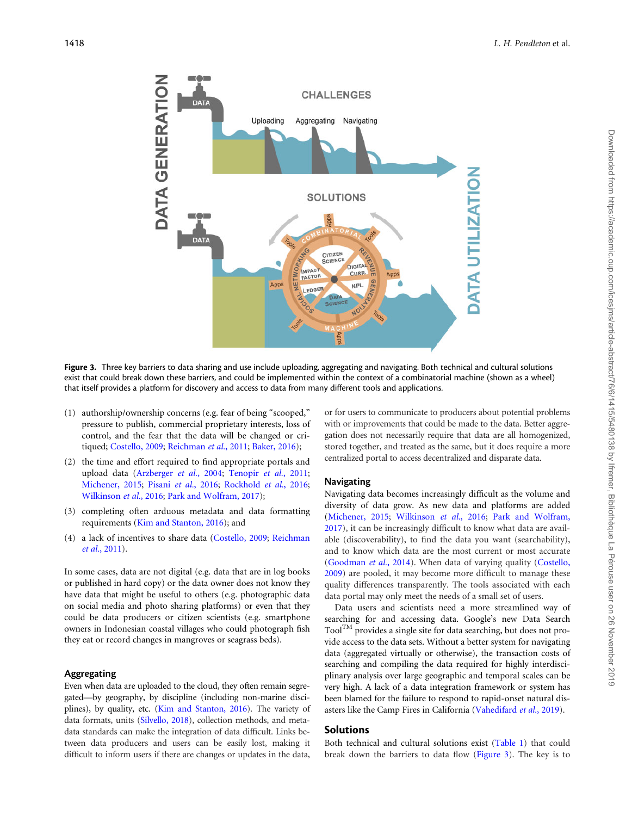<span id="page-3-0"></span>

Figure 3. Three key barriers to data sharing and use include uploading, aggregating and navigating. Both technical and cultural solutions exist that could break down these barriers, and could be implemented within the context of a combinatorial machine (shown as a wheel) that itself provides a platform for discovery and access to data from many different tools and applications.

- (1) authorship/ownership concerns (e.g. fear of being "scooped," pressure to publish, commercial proprietary interests, loss of control, and the fear that the data will be changed or critiqued; [Costello, 2009](#page-6-0); [Reichman](#page-7-0) et al., 2011; [Baker, 2016\)](#page-6-0);
- (2) the time and effort required to find appropriate portals and upload data [\(Arzberger](#page-6-0) et al., 2004; [Tenopir](#page-7-0) et al., 2011; [Michener, 2015](#page-7-0); Pisani et al.[, 2016](#page-7-0); [Rockhold](#page-7-0) et al., 2016; [Wilkinson](#page-8-0) et al., 2016; [Park and Wolfram, 2017](#page-7-0));
- (3) completing often arduous metadata and data formatting requirements ([Kim and Stanton, 2016\)](#page-7-0); and
- (4) a lack of incentives to share data ([Costello, 2009;](#page-6-0) [Reichman](#page-7-0) et al.[, 2011](#page-7-0)).

In some cases, data are not digital (e.g. data that are in log books or published in hard copy) or the data owner does not know they have data that might be useful to others (e.g. photographic data on social media and photo sharing platforms) or even that they could be data producers or citizen scientists (e.g. smartphone owners in Indonesian coastal villages who could photograph fish they eat or record changes in mangroves or seagrass beds).

#### Aggregating

Even when data are uploaded to the cloud, they often remain segregated—by geography, by discipline (including non-marine disciplines), by quality, etc. [\(Kim and Stanton, 2016](#page-7-0)). The variety of data formats, units [\(Silvello, 2018\)](#page-7-0), collection methods, and metadata standards can make the integration of data difficult. Links between data producers and users can be easily lost, making it difficult to inform users if there are changes or updates in the data, or for users to communicate to producers about potential problems with or improvements that could be made to the data. Better aggregation does not necessarily require that data are all homogenized, stored together, and treated as the same, but it does require a more centralized portal to access decentralized and disparate data.

#### Navigating

Navigating data becomes increasingly difficult as the volume and diversity of data grow. As new data and platforms are added ([Michener, 2015;](#page-7-0) [Wilkinson](#page-8-0) et al., 2016; [Park and Wolfram,](#page-7-0) [2017\)](#page-7-0), it can be increasingly difficult to know what data are available (discoverability), to find the data you want (searchability), and to know which data are the most current or most accurate ([Goodman](#page-7-0) et al., 2014). When data of varying quality [\(Costello,](#page-6-0) [2009\)](#page-6-0) are pooled, it may become more difficult to manage these quality differences transparently. The tools associated with each data portal may only meet the needs of a small set of users.

Data users and scientists need a more streamlined way of searching for and accessing data. Google's new Data Search Tool<sup>TM</sup> provides a single site for data searching, but does not provide access to the data sets. Without a better system for navigating data (aggregated virtually or otherwise), the transaction costs of searching and compiling the data required for highly interdisciplinary analysis over large geographic and temporal scales can be very high. A lack of a data integration framework or system has been blamed for the failure to respond to rapid-onset natural dis-asters like the Camp Fires in California ([Vahedifard](#page-8-0) et al., 2019).

## **Solutions**

Both technical and cultural solutions exist ([Table 1\)](#page-4-0) that could break down the barriers to data flow (Figure 3). The key is to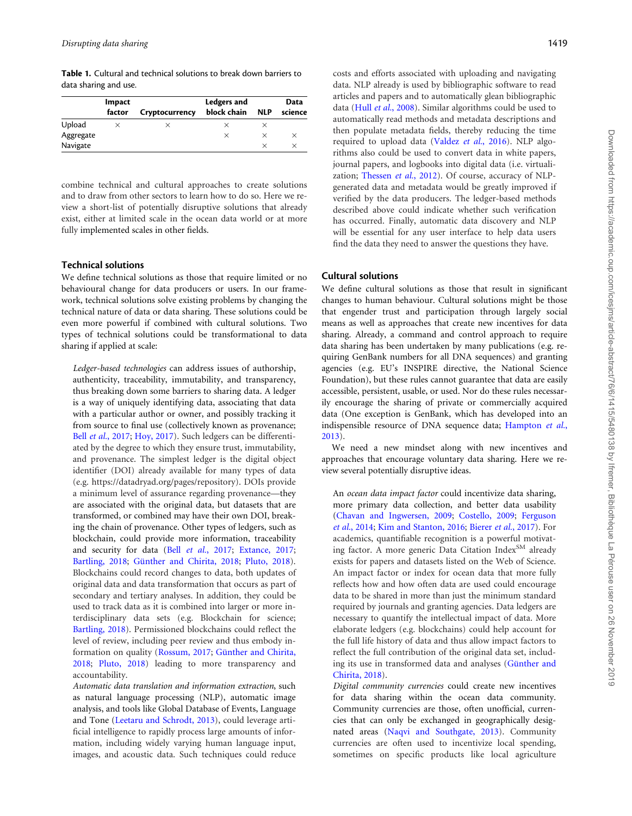<span id="page-4-0"></span>Table 1. Cultural and technical solutions to break down barriers to data sharing and use.

|           | Impact<br>factor |                | Ledgers and | <b>NLP</b> | Data<br>science |
|-----------|------------------|----------------|-------------|------------|-----------------|
|           |                  | Cryptocurrency | block chain |            |                 |
| Upload    |                  |                |             |            |                 |
| Aggregate |                  |                | $\times$    | ×          |                 |
| Navigate  |                  |                |             | ×          |                 |

combine technical and cultural approaches to create solutions and to draw from other sectors to learn how to do so. Here we review a short-list of potentially disruptive solutions that already exist, either at limited scale in the ocean data world or at more fully implemented scales in other fields.

#### Technical solutions

We define technical solutions as those that require limited or no behavioural change for data producers or users. In our framework, technical solutions solve existing problems by changing the technical nature of data or data sharing. These solutions could be even more powerful if combined with cultural solutions. Two types of technical solutions could be transformational to data sharing if applied at scale:

Ledger-based technologies can address issues of authorship, authenticity, traceability, immutability, and transparency, thus breaking down some barriers to sharing data. A ledger is a way of uniquely identifying data, associating that data with a particular author or owner, and possibly tracking it from source to final use (collectively known as provenance; Bell et al.[, 2017;](#page-6-0) [Hoy, 2017](#page-7-0)). Such ledgers can be differentiated by the degree to which they ensure trust, immutability, and provenance. The simplest ledger is the digital object identifier (DOI) already available for many types of data (e.g.<https://datadryad.org/pages/repository>). DOIs provide a minimum level of assurance regarding provenance—they are associated with the original data, but datasets that are transformed, or combined may have their own DOI, breaking the chain of provenance. Other types of ledgers, such as blockchain, could provide more information, traceability and security for data (Bell et al.[, 2017;](#page-6-0) [Extance, 2017;](#page-6-0) [Bartling, 2018](#page-6-0); Günther and Chirita, 2018; [Pluto, 2018](#page-7-0)). Blockchains could record changes to data, both updates of original data and data transformation that occurs as part of secondary and tertiary analyses. In addition, they could be used to track data as it is combined into larger or more interdisciplinary data sets (e.g. Blockchain for science; [Bartling, 2018\)](#page-6-0). Permissioned blockchains could reflect the level of review, including peer review and thus embody in-formation on quality [\(Rossum, 2017](#page-7-0); Günther and Chirita, [2018;](#page-7-0) [Pluto, 2018\)](#page-7-0) leading to more transparency and accountability.

Automatic data translation and information extraction, such as natural language processing (NLP), automatic image analysis, and tools like Global Database of Events, Language and Tone ([Leetaru and Schrodt, 2013](#page-7-0)), could leverage artificial intelligence to rapidly process large amounts of information, including widely varying human language input, images, and acoustic data. Such techniques could reduce

costs and efforts associated with uploading and navigating data. NLP already is used by bibliographic software to read articles and papers and to automatically glean bibliographic data (Hull et al.[, 2008\)](#page-7-0). Similar algorithms could be used to automatically read methods and metadata descriptions and then populate metadata fields, thereby reducing the time required to upload data ([Valdez](#page-8-0) et al., 2016). NLP algorithms also could be used to convert data in white papers, journal papers, and logbooks into digital data (i.e. virtuali-zation; [Thessen](#page-8-0) et al., 2012). Of course, accuracy of NLPgenerated data and metadata would be greatly improved if verified by the data producers. The ledger-based methods described above could indicate whether such verification has occurred. Finally, automatic data discovery and NLP will be essential for any user interface to help data users find the data they need to answer the questions they have.

#### Cultural solutions

We define cultural solutions as those that result in significant changes to human behaviour. Cultural solutions might be those that engender trust and participation through largely social means as well as approaches that create new incentives for data sharing. Already, a command and control approach to require data sharing has been undertaken by many publications (e.g. requiring GenBank numbers for all DNA sequences) and granting agencies (e.g. EU's INSPIRE directive, the National Science Foundation), but these rules cannot guarantee that data are easily accessible, persistent, usable, or used. Nor do these rules necessarily encourage the sharing of private or commercially acquired data (One exception is GenBank, which has developed into an indispensible resource of DNA sequence data; [Hampton](#page-7-0) et al., [2013\)](#page-7-0).

We need a new mindset along with new incentives and approaches that encourage voluntary data sharing. Here we review several potentially disruptive ideas.

An ocean data impact factor could incentivize data sharing, more primary data collection, and better data usability [\(Chavan and Ingwersen, 2009](#page-6-0); [Costello, 2009;](#page-6-0) [Ferguson](#page-6-0) et al.[, 2014;](#page-6-0) [Kim and Stanton, 2016;](#page-7-0) Bierer et al.[, 2017\)](#page-6-0). For academics, quantifiable recognition is a powerful motivating factor. A more generic Data Citation Index<sup>SM</sup> already exists for papers and datasets listed on the Web of Science. An impact factor or index for ocean data that more fully reflects how and how often data are used could encourage data to be shared in more than just the minimum standard required by journals and granting agencies. Data ledgers are necessary to quantify the intellectual impact of data. More elaborate ledgers (e.g. blockchains) could help account for the full life history of data and thus allow impact factors to reflect the full contribution of the original data set, including its use in transformed data and analyses (Günther and [Chirita, 2018\)](#page-7-0).

Digital community currencies could create new incentives for data sharing within the ocean data community. Community currencies are those, often unofficial, currencies that can only be exchanged in geographically designated areas ([Naqvi and Southgate, 2013](#page-7-0)). Community currencies are often used to incentivize local spending, sometimes on specific products like local agriculture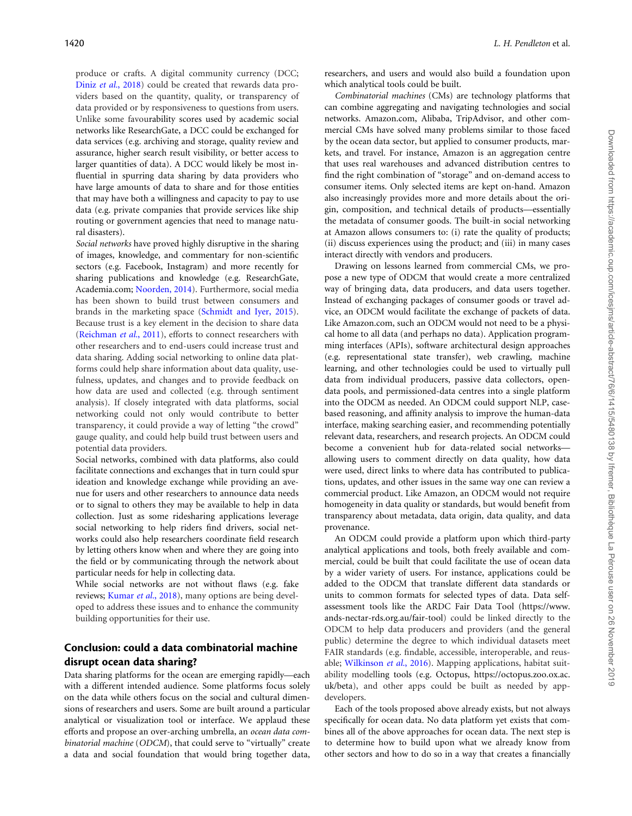produce or crafts. A digital community currency (DCC; Diniz et al.[, 2018](#page-6-0)) could be created that rewards data providers based on the quantity, quality, or transparency of data provided or by responsiveness to questions from users. Unlike some favourability scores used by academic social networks like ResearchGate, a DCC could be exchanged for data services (e.g. archiving and storage, quality review and assurance, higher search result visibility, or better access to larger quantities of data). A DCC would likely be most influential in spurring data sharing by data providers who have large amounts of data to share and for those entities that may have both a willingness and capacity to pay to use data (e.g. private companies that provide services like ship routing or government agencies that need to manage natural disasters).

Social networks have proved highly disruptive in the sharing of images, knowledge, and commentary for non-scientific sectors (e.g. Facebook, Instagram) and more recently for sharing publications and knowledge (e.g. ResearchGate, Academia.com; [Noorden, 2014\)](#page-7-0). Furthermore, social media has been shown to build trust between consumers and brands in the marketing space [\(Schmidt and Iyer, 2015](#page-7-0)). Because trust is a key element in the decision to share data ([Reichman](#page-7-0) et al., 2011), efforts to connect researchers with other researchers and to end-users could increase trust and data sharing. Adding social networking to online data platforms could help share information about data quality, usefulness, updates, and changes and to provide feedback on how data are used and collected (e.g. through sentiment analysis). If closely integrated with data platforms, social networking could not only would contribute to better transparency, it could provide a way of letting "the crowd" gauge quality, and could help build trust between users and potential data providers.

Social networks, combined with data platforms, also could facilitate connections and exchanges that in turn could spur ideation and knowledge exchange while providing an avenue for users and other researchers to announce data needs or to signal to others they may be available to help in data collection. Just as some ridesharing applications leverage social networking to help riders find drivers, social networks could also help researchers coordinate field research by letting others know when and where they are going into the field or by communicating through the network about particular needs for help in collecting data.

While social networks are not without flaws (e.g. fake reviews; [Kumar](#page-7-0) et al., 2018), many options are being developed to address these issues and to enhance the community building opportunities for their use.

# Conclusion: could a data combinatorial machine disrupt ocean data sharing?

Data sharing platforms for the ocean are emerging rapidly—each with a different intended audience. Some platforms focus solely on the data while others focus on the social and cultural dimensions of researchers and users. Some are built around a particular analytical or visualization tool or interface. We applaud these efforts and propose an over-arching umbrella, an ocean data combinatorial machine (ODCM), that could serve to "virtually" create a data and social foundation that would bring together data, researchers, and users and would also build a foundation upon which analytical tools could be built.

Combinatorial machines (CMs) are technology platforms that can combine aggregating and navigating technologies and social networks. Amazon.com, Alibaba, TripAdvisor, and other commercial CMs have solved many problems similar to those faced by the ocean data sector, but applied to consumer products, markets, and travel. For instance, Amazon is an aggregation centre that uses real warehouses and advanced distribution centres to find the right combination of "storage" and on-demand access to consumer items. Only selected items are kept on-hand. Amazon also increasingly provides more and more details about the origin, composition, and technical details of products—essentially the metadata of consumer goods. The built-in social networking at Amazon allows consumers to: (i) rate the quality of products; (ii) discuss experiences using the product; and (iii) in many cases interact directly with vendors and producers.

Drawing on lessons learned from commercial CMs, we propose a new type of ODCM that would create a more centralized way of bringing data, data producers, and data users together. Instead of exchanging packages of consumer goods or travel advice, an ODCM would facilitate the exchange of packets of data. Like Amazon.com, such an ODCM would not need to be a physical home to all data (and perhaps no data). Application programming interfaces (APIs), software architectural design approaches (e.g. representational state transfer), web crawling, machine learning, and other technologies could be used to virtually pull data from individual producers, passive data collectors, opendata pools, and permissioned-data centres into a single platform into the ODCM as needed. An ODCM could support NLP, casebased reasoning, and affinity analysis to improve the human-data interface, making searching easier, and recommending potentially relevant data, researchers, and research projects. An ODCM could become a convenient hub for data-related social networks allowing users to comment directly on data quality, how data were used, direct links to where data has contributed to publications, updates, and other issues in the same way one can review a commercial product. Like Amazon, an ODCM would not require homogeneity in data quality or standards, but would benefit from transparency about metadata, data origin, data quality, and data provenance.

An ODCM could provide a platform upon which third-party analytical applications and tools, both freely available and commercial, could be built that could facilitate the use of ocean data by a wider variety of users. For instance, applications could be added to the ODCM that translate different data standards or units to common formats for selected types of data. Data selfassessment tools like the ARDC Fair Data Tool [\(https://www.](https://www.ands-nectar-rds.org.au/fair-tool) [ands-nectar-rds.org.au/fair-tool\)](https://www.ands-nectar-rds.org.au/fair-tool) could be linked directly to the ODCM to help data producers and providers (and the general public) determine the degree to which individual datasets meet FAIR standards (e.g. findable, accessible, interoperable, and reus-able; [Wilkinson](#page-8-0) et al., 2016). Mapping applications, habitat suitability modelling tools (e.g. Octopus, [https://octopus.zoo.ox.ac.](https://octopus.zoo.ox.ac.uk/beta) [uk/beta\)](https://octopus.zoo.ox.ac.uk/beta), and other apps could be built as needed by appdevelopers.

Each of the tools proposed above already exists, but not always specifically for ocean data. No data platform yet exists that combines all of the above approaches for ocean data. The next step is to determine how to build upon what we already know from other sectors and how to do so in a way that creates a financially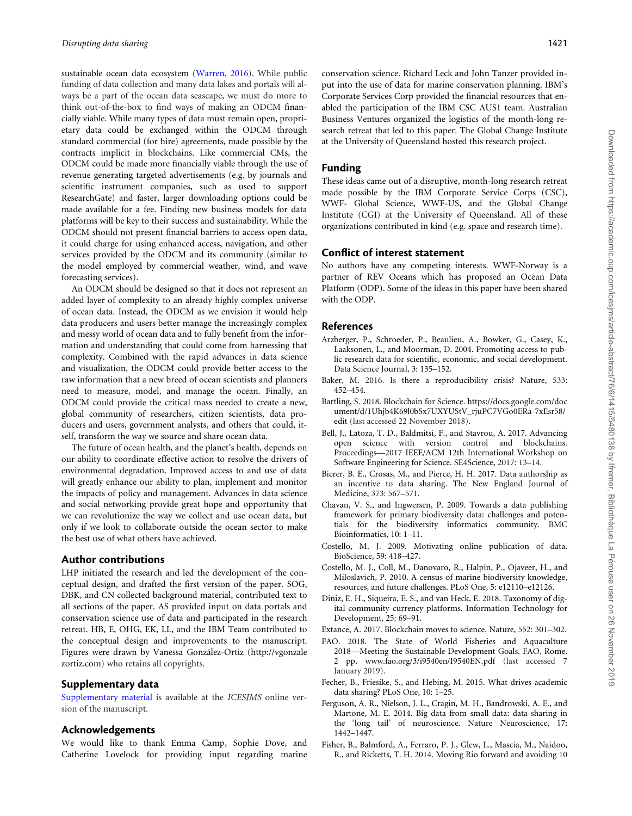<span id="page-6-0"></span>sustainable ocean data ecosystem [\(Warren, 2016\)](#page-8-0). While public funding of data collection and many data lakes and portals will always be a part of the ocean data seascape, we must do more to think out-of-the-box to find ways of making an ODCM financially viable. While many types of data must remain open, proprietary data could be exchanged within the ODCM through standard commercial (for hire) agreements, made possible by the contracts implicit in blockchains. Like commercial CMs, the ODCM could be made more financially viable through the use of revenue generating targeted advertisements (e.g. by journals and scientific instrument companies, such as used to support ResearchGate) and faster, larger downloading options could be made available for a fee. Finding new business models for data platforms will be key to their success and sustainability. While the ODCM should not present financial barriers to access open data, it could charge for using enhanced access, navigation, and other services provided by the ODCM and its community (similar to the model employed by commercial weather, wind, and wave forecasting services).

An ODCM should be designed so that it does not represent an added layer of complexity to an already highly complex universe of ocean data. Instead, the ODCM as we envision it would help data producers and users better manage the increasingly complex and messy world of ocean data and to fully benefit from the information and understanding that could come from harnessing that complexity. Combined with the rapid advances in data science and visualization, the ODCM could provide better access to the raw information that a new breed of ocean scientists and planners need to measure, model, and manage the ocean. Finally, an ODCM could provide the critical mass needed to create a new, global community of researchers, citizen scientists, data producers and users, government analysts, and others that could, itself, transform the way we source and share ocean data.

The future of ocean health, and the planet's health, depends on our ability to coordinate effective action to resolve the drivers of environmental degradation. Improved access to and use of data will greatly enhance our ability to plan, implement and monitor the impacts of policy and management. Advances in data science and social networking provide great hope and opportunity that we can revolutionize the way we collect and use ocean data, but only if we look to collaborate outside the ocean sector to make the best use of what others have achieved.

#### Author contributions

LHP initiated the research and led the development of the conceptual design, and drafted the first version of the paper. SOG, DBK, and CN collected background material, contributed text to all sections of the paper. AS provided input on data portals and conservation science use of data and participated in the research retreat. HB, E, OHG, EK, LL, and the IBM Team contributed to the conceptual design and improvements to the manuscript. Figures were drawn by Vanessa González-Ortiz [\(http://vgonzale](http://vgonzalezortiz.com) [zortiz.com](http://vgonzalezortiz.com)) who retains all copyrights.

#### Supplementary data

[Supplementary material](https://academic.oup.com/icesjms/article-lookup/doi/10.1093/icesjms/fsz068#supplementary-data) is available at the ICESJMS online version of the manuscript.

#### Acknowledgements

We would like to thank Emma Camp, Sophie Dove, and Catherine Lovelock for providing input regarding marine

conservation science. Richard Leck and John Tanzer provided input into the use of data for marine conservation planning. IBM's Corporate Services Corp provided the financial resources that enabled the participation of the IBM CSC AUS1 team. Australian Business Ventures organized the logistics of the month-long research retreat that led to this paper. The Global Change Institute at the University of Queensland hosted this research project.

#### Funding

These ideas came out of a disruptive, month-long research retreat made possible by the IBM Corporate Service Corps (CSC), WWF- Global Science, WWF-US, and the Global Change Institute (CGI) at the University of Queensland. All of these organizations contributed in kind (e.g. space and research time).

#### Conflict of interest statement

No authors have any competing interests. WWF-Norway is a partner of REV Oceans which has proposed an Ocean Data Platform (ODP). Some of the ideas in this paper have been shared with the ODP.

#### References

- Arzberger, P., Schroeder, P., Beaulieu, A., Bowker, G., Casey, K., Laaksonen, L., and Moorman, D. 2004. Promoting access to public research data for scientific, economic, and social development. Data Science Journal, 3: 135–152.
- Baker, M. 2016. Is there a reproducibility crisis? Nature, 533: 452–454.
- Bartling, S. 2018. Blockchain for Science. [https://docs.google.com/doc](https://docs.google.com/document/d/1Uhjb4K69l0bSx7UXYUStV_rjuPC7VGo0ERa-7xEsr58/edit) [ument/d/1Uhjb4K69l0bSx7UXYUStV\\_rjuPC7VGo0ERa-7xEsr58/](https://docs.google.com/document/d/1Uhjb4K69l0bSx7UXYUStV_rjuPC7VGo0ERa-7xEsr58/edit) [edit](https://docs.google.com/document/d/1Uhjb4K69l0bSx7UXYUStV_rjuPC7VGo0ERa-7xEsr58/edit) (last accessed 22 November 2018).
- Bell, J., Latoza, T. D., Baldmitsi, F., and Stavrou, A. 2017. Advancing open science with version control and blockchains. Proceedings—2017 IEEE/ACM 12th International Workshop on Software Engineering for Science. SE4Science, 2017: 13–14.
- Bierer, B. E., Crosas, M., and Pierce, H. H. 2017. Data authorship as an incentive to data sharing. The New England Journal of Medicine, 373: 567–571.
- Chavan, V. S., and Ingwersen, P. 2009. Towards a data publishing framework for primary biodiversity data: challenges and potentials for the biodiversity informatics community. BMC Bioinformatics, 10: 1–11.
- Costello, M. J. 2009. Motivating online publication of data. BioScience, 59: 418–427.
- Costello, M. J., Coll, M., Danovaro, R., Halpin, P., Ojaveer, H., and Miloslavich, P. 2010. A census of marine biodiversity knowledge, resources, and future challenges. PLoS One, 5: e12110–e12126.
- Diniz, E. H., Siqueira, E. S., and van Heck, E. 2018. Taxonomy of digital community currency platforms. Information Technology for Development, 25: 69–91.
- Extance, A. 2017. Blockchain moves to science. Nature, 552: 301–302.
- FAO. 2018. The State of World Fisheries and Aquaculture 2018—Meeting the Sustainable Development Goals. FAO, Rome. 2 pp. [www.fao.org/3/i9540en/I9540EN.pdf](http://www.fao.org/3/i9540en/I9540EN.pdf) (last accessed 7 January 2019).
- Fecher, B., Friesike, S., and Hebing, M. 2015. What drives academic data sharing? PLoS One, 10: 1–25.
- Ferguson, A. R., Nielson, J. L., Cragin, M. H., Bandrowski, A. E., and Martone, M. E. 2014. Big data from small data: data-sharing in the 'long tail' of neuroscience. Nature Neuroscience, 17: 1442–1447.
- Fisher, B., Balmford, A., Ferraro, P. J., Glew, L., Mascia, M., Naidoo, R., and Ricketts, T. H. 2014. Moving Rio forward and avoiding 10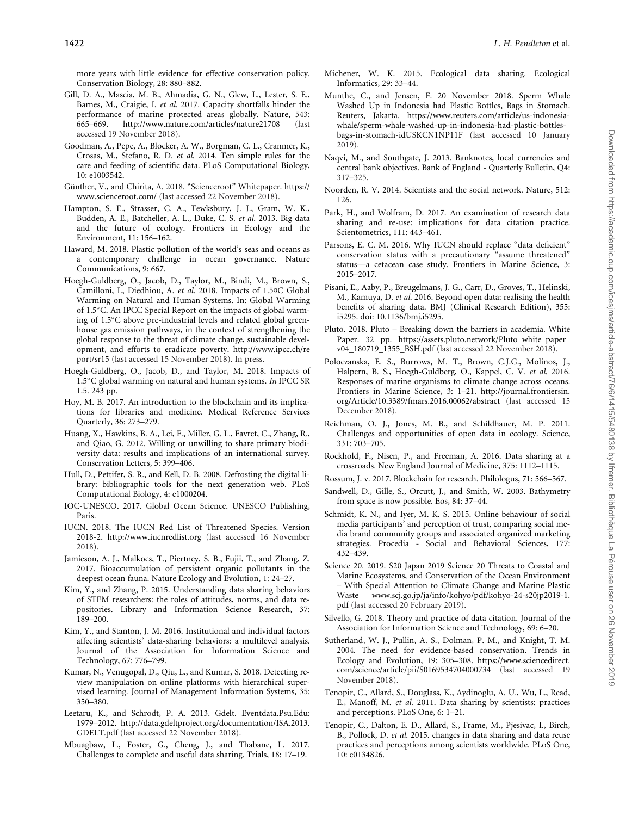<span id="page-7-0"></span>more years with little evidence for effective conservation policy. Conservation Biology, 28: 880–882.

- Gill, D. A., Mascia, M. B., Ahmadia, G. N., Glew, L., Lester, S. E., Barnes, M., Craigie, I. et al. 2017. Capacity shortfalls hinder the performance of marine protected areas globally. Nature, 543: 665–669.<http://www.nature.com/articles/nature21708> (last accessed 19 November 2018).
- Goodman, A., Pepe, A., Blocker, A. W., Borgman, C. L., Cranmer, K., Crosas, M., Stefano, R. D. et al. 2014. Ten simple rules for the care and feeding of scientific data. PLoS Computational Biology, 10: e1003542.
- Günther, V., and Chirita, A. 2018. "Scienceroot" Whitepaper. [https://](https://www.scienceroot.com/) [www.scienceroot.com/](https://www.scienceroot.com/) (last accessed 22 November 2018).
- Hampton, S. E., Strasser, C. A., Tewksbury, J. J., Gram, W. K., Budden, A. E., Batcheller, A. L., Duke, C. S. et al. 2013. Big data and the future of ecology. Frontiers in Ecology and the Environment, 11: 156–162.
- Haward, M. 2018. Plastic pollution of the world's seas and oceans as a contemporary challenge in ocean governance. Nature Communications, 9: 667.
- Hoegh-Guldberg, O., Jacob, D., Taylor, M., Bindi, M., Brown, S., Camilloni, I., Diedhiou, A. et al. 2018. Impacts of 1.5¤C Global Warming on Natural and Human Systems. In: Global Warming of 1.5C. An IPCC Special Report on the impacts of global warming of 1.5°C above pre-industrial levels and related global greenhouse gas emission pathways, in the context of strengthening the global response to the threat of climate change, sustainable development, and efforts to eradicate poverty. [http://www.ipcc.ch/re](http://www.ipcc.ch/report/sr15) [port/sr15](http://www.ipcc.ch/report/sr15) (last accessed 15 November 2018). In press.
- Hoegh-Guldberg, O., Jacob, D., and Taylor, M. 2018. Impacts of  $1.5^{\circ}$ C global warming on natural and human systems. In IPCC SR 1.5. 243 pp.
- Hoy, M. B. 2017. An introduction to the blockchain and its implications for libraries and medicine. Medical Reference Services Quarterly, 36: 273–279.
- Huang, X., Hawkins, B. A., Lei, F., Miller, G. L., Favret, C., Zhang, R., and Qiao, G. 2012. Willing or unwilling to share primary biodiversity data: results and implications of an international survey. Conservation Letters, 5: 399–406.
- Hull, D., Pettifer, S. R., and Kell, D. B. 2008. Defrosting the digital library: bibliographic tools for the next generation web. PLoS Computational Biology, 4: e1000204.
- IOC-UNESCO. 2017. Global Ocean Science. UNESCO Publishing, Paris.
- IUCN. 2018. The IUCN Red List of Threatened Species. Version 2018-2.<http://www.iucnredlist.org> (last accessed 16 November 2018).
- Jamieson, A. J., Malkocs, T., Piertney, S. B., Fujii, T., and Zhang, Z. 2017. Bioaccumulation of persistent organic pollutants in the deepest ocean fauna. Nature Ecology and Evolution, 1: 24–27.
- Kim, Y., and Zhang, P. 2015. Understanding data sharing behaviors of STEM researchers: the roles of attitudes, norms, and data repositories. Library and Information Science Research, 37: 189–200.
- Kim, Y., and Stanton, J. M. 2016. Institutional and individual factors affecting scientists' data-sharing behaviors: a multilevel analysis. Journal of the Association for Information Science and Technology, 67: 776–799.
- Kumar, N., Venugopal, D., Qiu, L., and Kumar, S. 2018. Detecting review manipulation on online platforms with hierarchical supervised learning. Journal of Management Information Systems, 35: 350–380.
- Leetaru, K., and Schrodt, P. A. 2013. Gdelt. Eventdata.Psu.Edu: 1979–2012. [http://data.gdeltproject.org/documentation/ISA.2013.](http://data.gdeltproject.org/documentation/ISA.2013.GDELT.pdf) [GDELT.pdf](http://data.gdeltproject.org/documentation/ISA.2013.GDELT.pdf) (last accessed 22 November 2018).
- Mbuagbaw, L., Foster, G., Cheng, J., and Thabane, L. 2017. Challenges to complete and useful data sharing. Trials, 18: 17–19.
- Michener, W. K. 2015. Ecological data sharing. Ecological Informatics, 29: 33–44.
- Munthe, C., and Jensen, F. 20 November 2018. Sperm Whale Washed Up in Indonesia had Plastic Bottles, Bags in Stomach. Reuters, Jakarta. [https://www.reuters.com/article/us-indonesia](https://www.reuters.com/article/us-indonesia-whale/sperm-whale-washed-up-in-indonesia-had-plastic-bottles-bags-in-stomach-idUSKCN1NP11F)[whale/sperm-whale-washed-up-in-indonesia-had-plastic-bottles](https://www.reuters.com/article/us-indonesia-whale/sperm-whale-washed-up-in-indonesia-had-plastic-bottles-bags-in-stomach-idUSKCN1NP11F)[bags-in-stomach-idUSKCN1NP11F](https://www.reuters.com/article/us-indonesia-whale/sperm-whale-washed-up-in-indonesia-had-plastic-bottles-bags-in-stomach-idUSKCN1NP11F) (last accessed 10 January 2019).
- Naqvi, M., and Southgate, J. 2013. Banknotes, local currencies and central bank objectives. Bank of England - Quarterly Bulletin, Q4: 317–325.
- Noorden, R. V. 2014. Scientists and the social network. Nature, 512: 126.
- Park, H., and Wolfram, D. 2017. An examination of research data sharing and re-use: implications for data citation practice. Scientometrics, 111: 443–461.
- Parsons, E. C. M. 2016. Why IUCN should replace "data deficient" conservation status with a precautionary "assume threatened" status—a cetacean case study. Frontiers in Marine Science, 3: 2015–2017.
- Pisani, E., Aaby, P., Breugelmans, J. G., Carr, D., Groves, T., Helinski, M., Kamuya, D. et al. 2016. Beyond open data: realising the health benefits of sharing data. BMJ (Clinical Research Edition), 355: i5295. doi: 10.1136/bmj.i5295.
- Pluto. 2018. Pluto Breaking down the barriers in academia. White Paper. 32 pp. [https://assets.pluto.network/Pluto\\_white\\_paper\\_](https://assets.pluto.network/Pluto_white_paper_v04_180719_1355_BSH.pdf) [v04\\_180719\\_1355\\_BSH.pdf](https://assets.pluto.network/Pluto_white_paper_v04_180719_1355_BSH.pdf) (last accessed 22 November 2018).
- Poloczanska, E. S., Burrows, M. T., Brown, C.J.G., Molinos, J., Halpern, B. S., Hoegh-Guldberg, O., Kappel, C. V. et al. 2016. Responses of marine organisms to climate change across oceans. Frontiers in Marine Science, 3: 1–21. [http://journal.frontiersin.](http://journal.frontiersin.org/Article/10.3389/fmars.2016.00062/abstract) [org/Article/10.3389/fmars.2016.00062/abstract](http://journal.frontiersin.org/Article/10.3389/fmars.2016.00062/abstract) (last accessed 15 December 2018).
- Reichman, O. J., Jones, M. B., and Schildhauer, M. P. 2011. Challenges and opportunities of open data in ecology. Science, 331: 703–705.
- Rockhold, F., Nisen, P., and Freeman, A. 2016. Data sharing at a crossroads. New England Journal of Medicine, 375: 1112–1115.
- Rossum, J. v. 2017. Blockchain for research. Philologus, 71: 566–567.
- Sandwell, D., Gille, S., Orcutt, J., and Smith, W. 2003. Bathymetry from space is now possible. Eos, 84: 37–44.
- Schmidt, K. N., and Iyer, M. K. S. 2015. Online behaviour of social media participants' and perception of trust, comparing social media brand community groups and associated organized marketing strategies. Procedia - Social and Behavioral Sciences, 177: 432–439.
- Science 20. 2019. S20 Japan 2019 Science 20 Threats to Coastal and Marine Ecosystems, and Conservation of the Ocean Environment – With Special Attention to Climate Change and Marine Plastic Waste [www.scj.go.jp/ja/info/kohyo/pdf/kohyo-24-s20jp2019-1.](http://www.scj.go.jp/ja/info/kohyo/pdf/kohyo-24-s20jp2019-1.pdf) [pdf](http://www.scj.go.jp/ja/info/kohyo/pdf/kohyo-24-s20jp2019-1.pdf) (last accessed 20 February 2019).
- Silvello, G. 2018. Theory and practice of data citation. Journal of the Association for Information Science and Technology, 69: 6–20.
- Sutherland, W. J., Pullin, A. S., Dolman, P. M., and Knight, T. M. 2004. The need for evidence-based conservation. Trends in Ecology and Evolution, 19: 305–308. [https://www.sciencedirect.](https://www.sciencedirect.com/science/article/pii/S0169534704000734) [com/science/article/pii/S0169534704000734](https://www.sciencedirect.com/science/article/pii/S0169534704000734) (last accessed 19 November 2018).
- Tenopir, C., Allard, S., Douglass, K., Aydinoglu, A. U., Wu, L., Read, E., Manoff, M. et al. 2011. Data sharing by scientists: practices and perceptions. PLoS One, 6: 1–21.
- Tenopir, C., Dalton, E. D., Allard, S., Frame, M., Pjesivac, I., Birch, B., Pollock, D. et al. 2015. changes in data sharing and data reuse practices and perceptions among scientists worldwide. PLoS One, 10: e0134826.